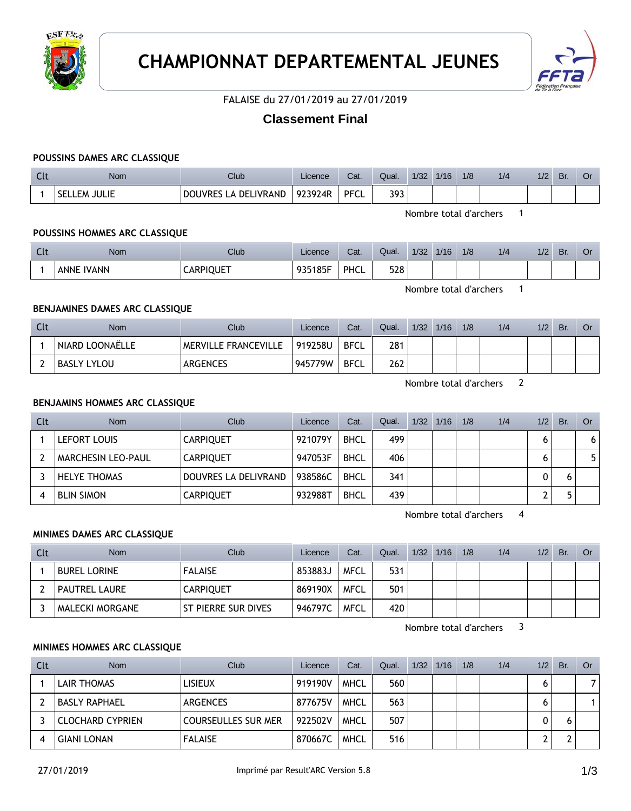



### FALAISE du 27/01/2019 au 27/01/2019

# **Classement Final**

### **POUSSINS DAMES ARC CLASSIQUE**

| นเ | Nom                   | Club                             | Licence | Cat.        | Qual. | 1/32 | 1/16 | 1/8 | 1/4 | 1/2 | Br. | Or |
|----|-----------------------|----------------------------------|---------|-------------|-------|------|------|-----|-----|-----|-----|----|
|    | JULIE<br>SELL.<br>.EM | S LA DELIVRAND<br><b>DOUVRES</b> | 923924R | <b>PFCL</b> | 393   |      |      |     |     |     |     |    |

Nombre total d'archers 1

#### **POUSSINS HOMMES ARC CLASSIQUE**

| $\sim$<br><b>CIL</b> | <b>Nom</b> | Club             | Licence | Cat. | Qual. | 1/32 | 1/16 | 1/8 | 1/4 | $\sqrt{2}$<br>1/2 | Br. |  |
|----------------------|------------|------------------|---------|------|-------|------|------|-----|-----|-------------------|-----|--|
|                      | ANNE IVANN | <b>CARPIQUET</b> | 935185F | PHCL | 528   |      |      |     |     |                   |     |  |

Nombre total d'archers 1

### **BENJAMINES DAMES ARC CLASSIQUE**

| Cli | <b>Nom</b>      | Club                 | Licence | Cat.        | Qual. | 1/32 | 1/16 | 1/8 | 1/4 | 1/2 | Br. |  |
|-----|-----------------|----------------------|---------|-------------|-------|------|------|-----|-----|-----|-----|--|
|     | NIARD LOONAËLLE | MERVILLE FRANCEVILLE | 919258U | <b>BFCL</b> | 281   |      |      |     |     |     |     |  |
|     | BASLY LYLOU     | <b>ARGENCES</b>      | 945779W | <b>BFCL</b> | 262   |      |      |     |     |     |     |  |

Nombre total d'archers 2

### **BENJAMINS HOMMES ARC CLASSIQUE**

| Clt | Nom                       | Club                 | Licence | Cat.        | Qual. | 1/32 | 1/16 | 1/8 | 1/4 | 1/2 | Br. | Or. |
|-----|---------------------------|----------------------|---------|-------------|-------|------|------|-----|-----|-----|-----|-----|
|     | LEFORT LOUIS              | <b>CARPIQUET</b>     | 921079Y | <b>BHCL</b> | 499   |      |      |     |     |     |     | 6   |
|     | <b>MARCHESIN LEO-PAUL</b> | <b>CARPIQUET</b>     | 947053F | <b>BHCL</b> | 406   |      |      |     |     |     |     |     |
|     | <b>HELYE THOMAS</b>       | DOUVRES LA DELIVRAND | 938586C | <b>BHCL</b> | 341   |      |      |     |     |     |     |     |
|     | <b>BLIN SIMON</b>         | <b>CARPIQUET</b>     | 932988T | <b>BHCL</b> | 439   |      |      |     |     |     |     |     |

Nombre total d'archers 4

#### **MINIMES DAMES ARC CLASSIQUE**

| Clt | <b>Nom</b>             | Club                  | Licence | Cat.        | Qual. | 1/32 | 1/16 | 1/8 | 1/4 | 1/2 | Br. | <b>Or</b> |
|-----|------------------------|-----------------------|---------|-------------|-------|------|------|-----|-----|-----|-----|-----------|
|     | <b>BUREL LORINE</b>    | <b>FALAISE</b>        | 853883J | <b>MFCL</b> | 531   |      |      |     |     |     |     |           |
|     | PAUTREL LAURE          | <b>CARPIQUET</b>      | 869190X | MFCL        | 501   |      |      |     |     |     |     |           |
|     | <b>MALECKI MORGANE</b> | I ST PIERRE SUR DIVES | 946797C | <b>MFCL</b> | 420   |      |      |     |     |     |     |           |

Nombre total d'archers 3

### **MINIMES HOMMES ARC CLASSIQUE**

| Clt | <b>Nom</b>           | Club                       | Licence | Cat.        | Qual. | 1/32 | 1/16 | 1/8 | 1/4 | 1/2 | Br. | Or . |
|-----|----------------------|----------------------------|---------|-------------|-------|------|------|-----|-----|-----|-----|------|
|     | <b>LAIR THOMAS</b>   | <b>LISIEUX</b>             | 919190V | <b>MHCL</b> | 560   |      |      |     |     |     |     |      |
|     | <b>BASLY RAPHAEL</b> | <b>ARGENCES</b>            | 877675V | <b>MHCL</b> | 563   |      |      |     |     |     |     |      |
|     | CLOCHARD CYPRIEN     | <b>COURSEULLES SUR MER</b> | 922502V | <b>MHCL</b> | 507   |      |      |     |     |     |     |      |
|     | <b>GIANI LONAN</b>   | <b>FALAISE</b>             | 870667C | MHCL        | 516   |      |      |     |     |     |     |      |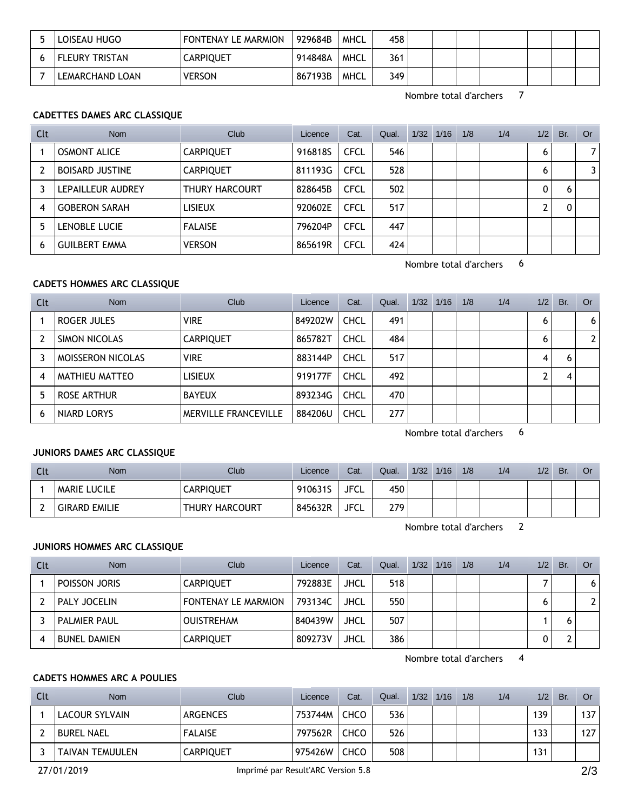| LOISEAU HUGO    | FONTENAY LE MARMION | 929684B | <b>MHCL</b> | 458 |  |  |  |  |
|-----------------|---------------------|---------|-------------|-----|--|--|--|--|
| FLEURY TRISTAN  | <b>CARPIQUET</b>    | 914848A | MHCL        | 361 |  |  |  |  |
| LEMARCHAND LOAN | <b>VERSON</b>       | 867193B | MHCL        | 349 |  |  |  |  |

Nombre total d'archers 7

### **CADETTES DAMES ARC CLASSIQUE**

| Clt | <b>Nom</b>             | Club             | Licence | Cat.        | Qual. | 1/32 | 1/16 | 1/8 | 1/4 | 1/2 | Br. | Or             |
|-----|------------------------|------------------|---------|-------------|-------|------|------|-----|-----|-----|-----|----------------|
|     | <b>OSMONT ALICE</b>    | <b>CARPIQUET</b> | 916818S | <b>CFCL</b> | 546   |      |      |     |     | 6   |     | 7              |
|     | <b>BOISARD JUSTINE</b> | <b>CARPIQUET</b> | 811193G | <b>CFCL</b> | 528   |      |      |     |     | 6   |     | $\overline{3}$ |
|     | LEPAILLEUR AUDREY      | THURY HARCOURT   | 828645B | <b>CFCL</b> | 502   |      |      |     |     | 0   | h   |                |
|     | <b>GOBERON SARAH</b>   | <b>LISIEUX</b>   | 920602E | <b>CFCL</b> | 517   |      |      |     |     | ົ   |     |                |
|     | LENOBLE LUCIE          | <b>FALAISE</b>   | 796204P | <b>CFCL</b> | 447   |      |      |     |     |     |     |                |
| 6   | <b>GUILBERT EMMA</b>   | <b>VERSON</b>    | 865619R | <b>CFCL</b> | 424   |      |      |     |     |     |     |                |

Nombre total d'archers 6

### **CADETS HOMMES ARC CLASSIQUE**

| Clt | <b>Nom</b>               | Club                        | Licence | Cat.        | Qual. | 1/32 | 1/16 | 1/8 | 1/4 | 1/2 | Br. | Or             |
|-----|--------------------------|-----------------------------|---------|-------------|-------|------|------|-----|-----|-----|-----|----------------|
|     | ROGER JULES              | <b>VIRE</b>                 | 849202W | <b>CHCL</b> | 491   |      |      |     |     | 6   |     | 6 <sup>1</sup> |
|     | SIMON NICOLAS            | <b>CARPIQUET</b>            | 865782T | <b>CHCL</b> | 484   |      |      |     |     | 6   |     | 2 <sup>1</sup> |
|     | <b>MOISSERON NICOLAS</b> | <b>VIRE</b>                 | 883144P | <b>CHCL</b> | 517   |      |      |     |     | 4   | 'n  |                |
| 4   | MATHIEU MATTEO           | <b>LISIEUX</b>              | 919177F | <b>CHCL</b> | 492   |      |      |     |     |     |     |                |
| 5   | ROSE ARTHUR              | <b>BAYEUX</b>               | 893234G | <b>CHCL</b> | 470   |      |      |     |     |     |     |                |
| 6   | NIARD LORYS              | <b>MERVILLE FRANCEVILLE</b> | 884206U | <b>CHCL</b> | 277   |      |      |     |     |     |     |                |

Nombre total d'archers 6

#### **JUNIORS DAMES ARC CLASSIQUE**

| Clt | <b>Nom</b>           | <b>Club</b>      | Licence | Cat.        | Qual. | 1/32 | 1/16 | 1/8 | 1/4 | 1/2 | Br. | Or |
|-----|----------------------|------------------|---------|-------------|-------|------|------|-----|-----|-----|-----|----|
|     | <b>MARIE LUCILE</b>  | <b>CARPIQUET</b> | 910631S | <b>JFCL</b> | 450   |      |      |     |     |     |     |    |
|     | <b>GIRARD EMILIE</b> | THURY HARCOURT   | 845632R | <b>JFCL</b> | 279   |      |      |     |     |     |     |    |

Nombre total d'archers 2

#### **JUNIORS HOMMES ARC CLASSIQUE**

| Clt | <b>Nom</b>          | Club                       | Licence | Cat.        | Qual. | $1/32$ $1/16$ | 1/8 | 1/4 | 1/2 | Br. | Or                    |
|-----|---------------------|----------------------------|---------|-------------|-------|---------------|-----|-----|-----|-----|-----------------------|
|     | POISSON JORIS       | <b>CARPIQUET</b>           | 792883E | JHCL        | 518   |               |     |     |     |     | 6                     |
|     | PALY JOCELIN        | <b>FONTENAY LE MARMION</b> | 793134C | <b>JHCL</b> | 550   |               |     |     | 0   |     | $\mathbf{2}^{\prime}$ |
|     | <b>PALMIER PAUL</b> | <b>OUISTREHAM</b>          | 840439W | <b>JHCL</b> | 507   |               |     |     |     |     |                       |
|     | <b>BUNEL DAMIEN</b> | <b>CARPIQUET</b>           | 809273V | <b>JHCL</b> | 386   |               |     |     | 0   |     |                       |

Nombre total d'archers 4

## **CADETS HOMMES ARC A POULIES**

| Clt | <b>Nom</b>             | Club             | Licence | Cat.        | Qual. | 1/32 | 1/16 | 1/8 | 1/4 | 1/2 | Br. | Or  |
|-----|------------------------|------------------|---------|-------------|-------|------|------|-----|-----|-----|-----|-----|
|     | LACOUR SYLVAIN         | <b>ARGENCES</b>  | 753744M | <b>CHCO</b> | 536   |      |      |     |     | 139 |     | 137 |
|     | <b>BUREL NAEL</b>      | <b>FALAISE</b>   | 797562R | <b>CHCO</b> | 526   |      |      |     |     | 133 |     | 127 |
|     | <b>TAIVAN TEMUULEN</b> | <b>CARPIQUET</b> | 975426W | <b>CHCO</b> | 508   |      |      |     |     | 131 |     |     |